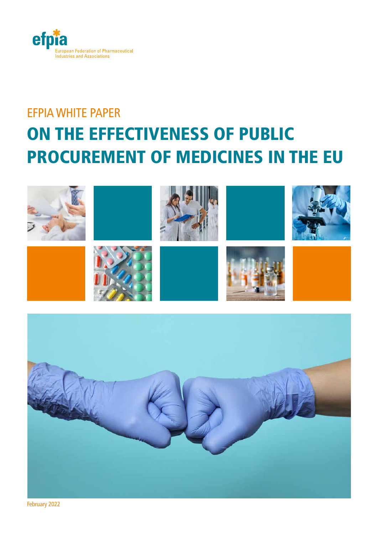

# EFPIA WHITE PAPER ON THE EFFECTIVENESS OF PUBLIC PROCUREMENT OF MEDICINES IN THE EU





February 2022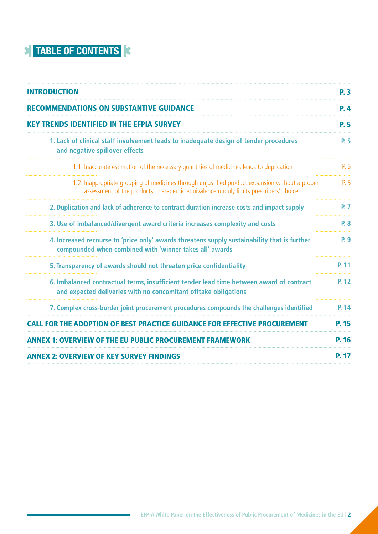## **TABLE OF CONTENTS**

| <b>INTRODUCTION</b>                                                                                                                                                                      | <b>P.3</b>   |
|------------------------------------------------------------------------------------------------------------------------------------------------------------------------------------------|--------------|
| <b>RECOMMENDATIONS ON SUBSTANTIVE GUIDANCE</b>                                                                                                                                           | <b>P.4</b>   |
| KFY TRENDS IDENTIFIED IN THE FEPIA SURVEY                                                                                                                                                | <b>P.5</b>   |
| 1. Lack of clinical staff involvement leads to inadequate design of tender procedures<br>and negative spillover effects                                                                  | P. 5         |
| 1.1. Inaccurate estimation of the necessary quantities of medicines leads to duplication                                                                                                 | P. 5         |
| 1.2. Inappropriate grouping of medicines through unjustified product expansion without a proper<br>assessment of the products' therapeutic equivalence unduly limits prescribers' choice | P. 5         |
| 2. Duplication and lack of adherence to contract duration increase costs and impact supply                                                                                               | <b>P. 7</b>  |
| 3. Use of imbalanced/divergent award criteria increases complexity and costs                                                                                                             | P. 8         |
| 4. Increased recourse to 'price only' awards threatens supply sustainability that is further<br>compounded when combined with 'winner takes all' awards                                  | P. 9         |
| 5. Transparency of awards should not threaten price confidentiality                                                                                                                      | P. 11        |
| 6. Imbalanced contractual terms, insufficient tender lead time between award of contract<br>and expected deliveries with no concomitant offtake obligations                              | P. 12        |
| 7. Complex cross-border joint procurement procedures compounds the challenges identified                                                                                                 | P. 14        |
| <b>CALL FOR THE ADOPTION OF BEST PRACTICE GUIDANCE FOR EFFECTIVE PROCUREMENT</b>                                                                                                         | <b>P. 15</b> |
| <b>ANNEX 1: OVERVIEW OF THE EU PUBLIC PROCUREMENT FRAMEWORK</b>                                                                                                                          | P. 16        |
| <b>ANNEX 2: OVERVIEW OF KEY SURVEY FINDINGS</b>                                                                                                                                          | <b>P. 17</b> |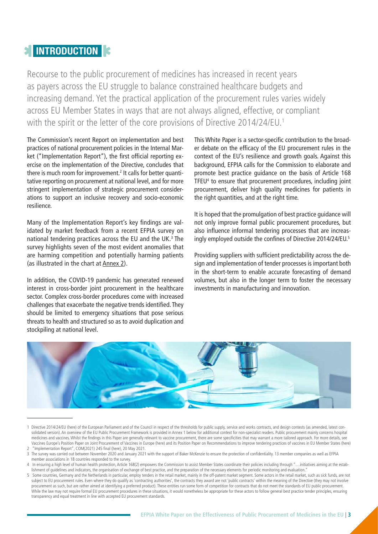### <span id="page-2-0"></span>**EXTINTRODUCTION**

Recourse to the public procurement of medicines has increased in recent years as payers across the EU struggle to balance constrained healthcare budgets and increasing demand. Yet the practical application of the procurement rules varies widely across EU Member States in ways that are not always aligned, effective, or compliant with the spirit or the letter of the core provisions of Directive 2014/24/EU.<sup>1</sup>

The Commission's recent Report on implementation and best practices of national procurement policies in the Internal Market ("Implementation Report"), the first official reporting exercise on the implementation of the Directive, concludes that there is much room for improvement.<sup>2</sup> It calls for better quantitative reporting on procurement at national level, and for more stringent implementation of strategic procurement considerations to support an inclusive recovery and socio-economic resilience.

Many of the Implementation Report's key findings are validated by market feedback from a recent EFPIA survey on national tendering practices across the EU and the UK.<sup>3</sup> The survey highlights seven of the most evident anomalies that are harming competition and potentially harming patients (as illustrated in the chart at [Annex 2](#page-16-0)).

In addition, the COVID-19 pandemic has generated renewed interest in cross-border joint procurement in the healthcare sector. Complex cross-border procedures come with increased challenges that exacerbate the negative trends identified. They should be limited to emergency situations that pose serious threats to health and structured so as to avoid duplication and stockpiling at national level.

This White Paper is a sector-specific contribution to the broader debate on the efficacy of the EU procurement rules in the context of the EU's resilience and growth goals. Against this background, EFPIA calls for the Commission to elaborate and promote best practice guidance on the basis of Article 168 TFEU4 to ensure that procurement procedures, including joint procurement, deliver high quality medicines for patients in the right quantities, and at the right time.

It is hoped that the promulgation of best practice guidance will not only improve formal public procurement procedures, but also influence informal tendering processes that are increasingly employed outside the confines of Directive 2014/24/EU.5

Providing suppliers with sufficient predictability across the design and implementation of tender processes is important both in the short-term to enable accurate forecasting of demand volumes, but also in the longer term to foster the necessary investments in manufacturing and innovation.



<sup>1</sup> Directive 2014/24/EU [\(here\)](https://eur-lex.europa.eu/legal-content/EN/TXT/?uri=CELEX:02014L0024-20200101) of the European Parliament and of the Council in respect of the thresholds for public supply, service and works contracts, and design contests (as amended, latest con-solidated version). An overview of the EU Public Procurement Framework is provided in [Annex 1](#page-15-0) below for additional context for non-specialist readers. Public procurement mainly concerns hospital medicines and vaccines. Whilst the findings in this Paper are generally relevant to vaccine procurement, there are some specificities that may warrant a more tailored approach. For more details, see Vaccines Europe's Position Paper on Joint Procurement of Vaccines in Europe ([here\)](https://www.vaccineseurope.eu/news/position-papers/vaccines-europes-position-on-joint-procurement-of-vaccines-in-europe) and its Position Paper on Recommendations to improve tendering practices of vaccines in EU Member States ([here\)](https://www.vaccineseurope.eu/news/position-papers/recommendations-to-improve-tendering-practices-of-vaccines-in-eu-member-states) 2 "Implementation Report", COM(2021) 245 final [\(here\)](https://www.vaccineseurope.eu/news/position-papers/recommendations-to-improve-tendering-practices-of-vaccines-in-eu-member-states), 20 May 2021.

<sup>3</sup> The survey was carried out between November 2020 and January 2021 with the support of Baker McKenzie to ensure the protection of confidentiality. 13 member companies as well as EFPIA member associations in 18 countries responded to the survey.

<sup>4</sup> In ensuring a high level of human health protection, Article 168(2) empowers the Commission to assist Member States coordinate their policies including through "…initiatives aiming at the establishment of guidelines and indicators, the organisation of exchange of best practice, and the preparation of the necessary elements for periodic monitoring and evaluation."

<sup>5</sup> Some countries, Germany and the Netherlands in particular, employ tenders in the retail market, mainly in the off-patent market segment. Some actors in the retail market, such as sick funds, are not subject to EU procurement rules. Even where they do qualify as 'contracting authorities', the contracts they award are not 'public contracts' within the meaning of the Directive (they may not involve procurement as such, but are rather aimed at identifying a preferred product). These entities run some form of competition for contracts that do not meet the standards of EU public procurement. While the law may not require formal EU procurement procedures in these situations, it would nonetheless be appropriate for these actors to follow general best practice tender principles, ensuring transparency and equal treatment in line with accepted EU procurement standards.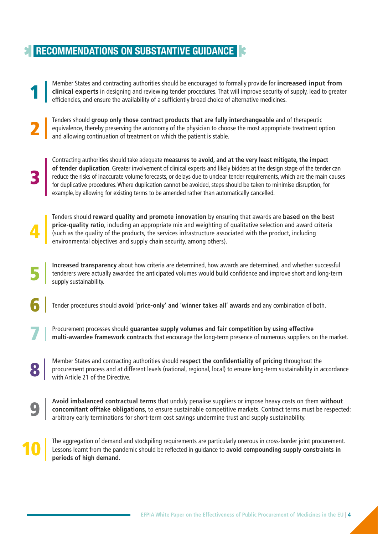### <span id="page-3-0"></span>**RECOMMENDATIONS ON SUBSTANTIVE GUIDANCE**

Member States and contracting authorities should be encouraged to formally provide for **increased input from clinical experts** in designing and reviewing tender procedures. That will improve security of supply, lead to greater efficiencies, and ensure the availability of a sufficiently broad choice of alternative medicines. 1

Tenders should **group only those contract products that are fully interchangeable** and of therapeutic equivalence, thereby preserving the autonomy of the physician to choose the most appropriate treatment option and allowing continuation of treatment on which the patient is stable. 2

3

7

8

9

10

Contracting authorities should take adequate **measures to avoid, and at the very least mitigate, the impact of tender duplication**. Greater involvement of clinical experts and likely bidders at the design stage of the tender can reduce the risks of inaccurate volume forecasts, or delays due to unclear tender requirements, which are the main causes for duplicative procedures. Where duplication cannot be avoided, steps should be taken to minimise disruption, for example, by allowing for existing terms to be amended rather than automatically cancelled.

Tenders should **reward quality and promote innovation** by ensuring that awards are **based on the best price-quality ratio**, including an appropriate mix and weighting of qualitative selection and award criteria (such as the quality of the products, the services infrastructure associated with the product, including environmental objectives and supply chain security, among others). 4

**Increased transparency** about how criteria are determined, how awards are determined, and whether successful tenderers were actually awarded the anticipated volumes would build confidence and improve short and long-term supply sustainability. 5

Tender procedures should **avoid 'price-only' and 'winner takes all' awards** and any combination of both. 6

Procurement processes should **guarantee supply volumes and fair competition by using effective multi-awardee framework contracts** that encourage the long-term presence of numerous suppliers on the market.

Member States and contracting authorities should **respect the confidentiality of pricing** throughout the procurement process and at different levels (national, regional, local) to ensure long-term sustainability in accordance with Article 21 of the Directive.

**Avoid imbalanced contractual terms** that unduly penalise suppliers or impose heavy costs on them **without concomitant offtake obligations**, to ensure sustainable competitive markets. Contract terms must be respected: arbitrary early terminations for short-term cost savings undermine trust and supply sustainability.

The aggregation of demand and stockpiling requirements are particularly onerous in cross-border joint procurement. Lessons learnt from the pandemic should be reflected in guidance to **avoid compounding supply constraints in periods of high demand**.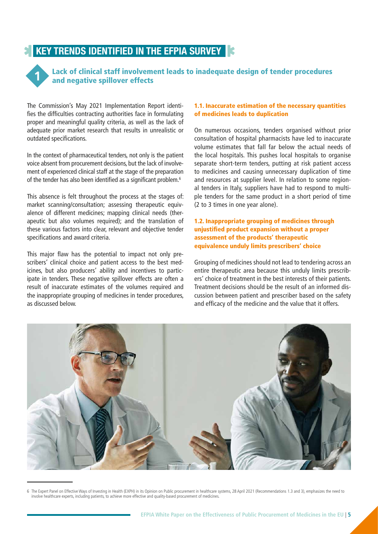### <span id="page-4-0"></span>**KEY TRENDS IDENTIFIED IN THE EFPIA SURVEY**



Lack of clinical staff involvement leads to inadequate design of tender procedures and negative spillover effects

The Commission's May 2021 Implementation Report identifies the difficulties contracting authorities face in formulating proper and meaningful quality criteria, as well as the lack of adequate prior market research that results in unrealistic or outdated specifications.

In the context of pharmaceutical tenders, not only is the patient voice absent from procurement decisions, but the lack of involvement of experienced clinical staff at the stage of the preparation of the tender has also been identified as a significant problem.6

This absence is felt throughout the process at the stages of: market scanning/consultation; assessing therapeutic equivalence of different medicines; mapping clinical needs (therapeutic but also volumes required); and the translation of these various factors into clear, relevant and objective tender specifications and award criteria.

This major flaw has the potential to impact not only prescribers' clinical choice and patient access to the best medicines, but also producers' ability and incentives to participate in tenders. These negative spillover effects are often a result of inaccurate estimates of the volumes required and the inappropriate grouping of medicines in tender procedures, as discussed below.

#### 1.1. Inaccurate estimation of the necessary quantities of medicines leads to duplication

On numerous occasions, tenders organised without prior consultation of hospital pharmacists have led to inaccurate volume estimates that fall far below the actual needs of the local hospitals. This pushes local hospitals to organise separate short-term tenders, putting at risk patient access to medicines and causing unnecessary duplication of time and resources at supplier level. In relation to some regional tenders in Italy, suppliers have had to respond to multiple tenders for the same product in a short period of time (2 to 3 times in one year alone).

1.2. Inappropriate grouping of medicines through unjustified product expansion without a proper assessment of the products' therapeutic equivalence unduly limits prescribers' choice

Grouping of medicines should not lead to tendering across an entire therapeutic area because this unduly limits prescribers' choice of treatment in the best interests of their patients. Treatment decisions should be the result of an informed discussion between patient and prescriber based on the safety and efficacy of the medicine and the value that it offers.



<sup>6</sup> The Expert Panel on Effective Ways of Investing in Health (EXPH) in its Opinion on Public procurement in healthcare systems, 28 April 2021 (Recommendations 1.3 and 3), emphasizes the need to involve healthcare experts, including patients, to achieve more effective and quality-based procurement of medicines.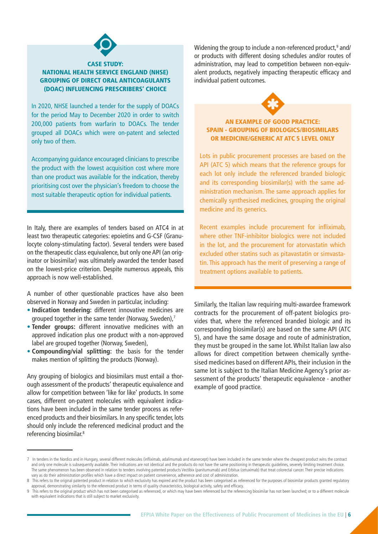

#### CASE STUDY: NATIONAL HEALTH SERVICE ENGLAND (NHSE) GROUPING OF DIRECT ORAL ANTICOAGULANTS (DOAC) INFLUENCING PRESCRIBERS' CHOICE

In 2020, NHSE launched a tender for the supply of DOACs for the period May to December 2020 in order to switch 200,000 patients from warfarin to DOACs. The tender grouped all DOACs which were on-patent and selected only two of them.

Accompanying guidance encouraged clinicians to prescribe the product with the lowest acquisition cost where more than one product was available for the indication, thereby prioritising cost over the physician's freedom to choose the most suitable therapeutic option for individual patients.

In Italy, there are examples of tenders based on ATC4 in at least two therapeutic categories: epoietins and G-CSF (Granulocyte colony-stimulating factor). Several tenders were based on the therapeutic class equivalence, but only one API (an originator or biosimilar) was ultimately awarded the tender based on the lowest-price criterion. Despite numerous appeals, this approach is now well-established.

A number of other questionable practices have also been observed in Norway and Sweden in particular, including:

- **Indication tendering:** different innovative medicines are grouped together in the same tender (Norway, Sweden),<sup>7</sup>
- **Tender groups:** different innovative medicines with an approved indication plus one product with a non-approved label are grouped together (Norway, Sweden),
- **Compounding/vial splitting:** the basis for the tender makes mention of splitting the products (Norway).

Any grouping of biologics and biosimilars must entail a thorough assessment of the products' therapeutic equivalence and allow for competition between 'like for like' products. In some cases, different on-patent molecules with equivalent indications have been included in the same tender process as referenced products and their biosimilars. In any specific tender, lots should only include the referenced medicinal product and the referencing biosimilar.8

Widening the group to include a non-referenced product,<sup>9</sup> and/ or products with different dosing schedules and/or routes of administration, may lead to competition between non-equivalent products, negatively impacting therapeutic efficacy and individual patient outcomes.



#### AN EXAMPLE OF GOOD PRACTICE: SPAIN - GROUPING OF BIOLOGICS/BIOSIMILARS OR MEDICINE/GENERIC AT ATC 5 LEVEL ONLY

Lots in public procurement processes are based on the API (ATC 5) which means that the reference groups for each lot only include the referenced branded biologic and its corresponding biosimilar(s) with the same administration mechanism. The same approach applies for chemically synthesised medicines, grouping the original medicine and its generics.

Recent examples include procurement for infliximab, where other TNF-inhibitor biologics were not included in the lot, and the procurement for atorvastatin which excluded other statins such as pitavastatin or simvastatin. This approach has the merit of preserving a range of treatment options available to patients.

Similarly, the Italian law requiring multi-awardee framework contracts for the procurement of off-patent biologics provides that, where the referenced branded biologic and its corresponding biosimilar(s) are based on the same API (ATC 5), and have the same dosage and route of administration, they must be grouped in the same lot. Whilst Italian law also allows for direct competition between chemically synthesised medicines based on different APIs, their inclusion in the same lot is subject to the Italian Medicine Agency's prior assessment of the products' therapeutic equivalence - another example of good practice.

<sup>7</sup> In tenders in the Nordics and in Hungary, several different molecules (infliximab, adalimumab and etanercept) have been included in the same tender where the cheapest product wins the contract and only one molecule is subsequently available. Their indications are not identical and the products do not have the same positioning in therapeutic guidelines, severely limiting treatment choice. The same phenomenon has been observed in relation to tenders involving patented products Vectibix (panitumumab) and Erbitux (cetuximab) that treat colorectal cancer. Their precise indications vary as do their administration profiles which have a direct impact on patient convenience, adherence and cost of administration.

<sup>8</sup> This refers to the original patented product in relation to which exclusivity has expired and the product has been categorised as referenced for the purposes of biosimilar products granted regulatory approval, demonstrating similarity to the referenced product in terms of quality characteristics, biological activity, safety and efficacy.

<sup>9</sup> This refers to the original product which has not been categorised as referenced, or which may have been referenced but the referencing biosimilar has not been launched; or to a different molecule with equivalent indications that is still subject to market exclusivity.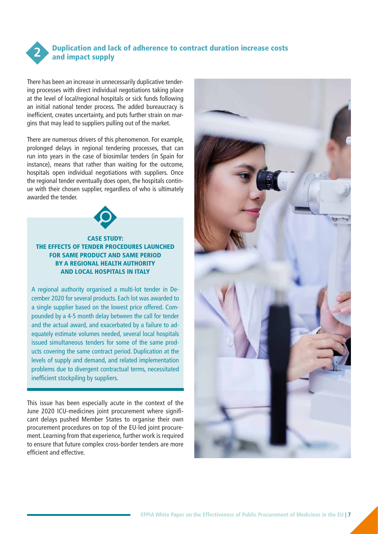<span id="page-6-0"></span>

#### Duplication and lack of adherence to contract duration increase costs and impact supply

There has been an increase in unnecessarily duplicative tendering processes with direct individual negotiations taking place at the level of local/regional hospitals or sick funds following an initial national tender process. The added bureaucracy is inefficient, creates uncertainty, and puts further strain on margins that may lead to suppliers pulling out of the market.

There are numerous drivers of this phenomenon. For example, prolonged delays in regional tendering processes, that can run into years in the case of biosimilar tenders (in Spain for instance), means that rather than waiting for the outcome, hospitals open individual negotiations with suppliers. Once the regional tender eventually does open, the hospitals continue with their chosen supplier, regardless of who is ultimately awarded the tender.



#### CASE STUDY: THE EFFECTS OF TENDER PROCEDURES LAUNCHED FOR SAME PRODUCT AND SAME PERIOD BY A REGIONAL HEALTH AUTHORITY AND LOCAL HOSPITALS IN ITALY

A regional authority organised a multi-lot tender in December 2020 for several products. Each lot was awarded to a single supplier based on the lowest price offered. Compounded by a 4-5 month delay between the call for tender and the actual award, and exacerbated by a failure to adequately estimate volumes needed, several local hospitals issued simultaneous tenders for some of the same products covering the same contract period. Duplication at the levels of supply and demand, and related implementation problems due to divergent contractual terms, necessitated inefficient stockpiling by suppliers.

This issue has been especially acute in the context of the June 2020 ICU-medicines joint procurement where significant delays pushed Member States to organise their own procurement procedures on top of the EU-led joint procurement. Learning from that experience, further work is required to ensure that future complex cross-border tenders are more efficient and effective.

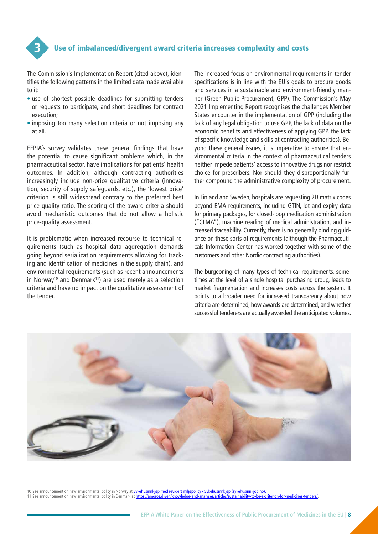<span id="page-7-0"></span>

The Commission's Implementation Report (cited above), identifies the following patterns in the limited data made available to it:

- use of shortest possible deadlines for submitting tenders or requests to participate, and short deadlines for contract execution;
- imposing too many selection criteria or not imposing any at all.

EFPIA's survey validates these general findings that have the potential to cause significant problems which, in the pharmaceutical sector, have implications for patients' health outcomes. In addition, although contracting authorities increasingly include non-price qualitative criteria (innovation, security of supply safeguards, etc.), the 'lowest price' criterion is still widespread contrary to the preferred best price-quality ratio. The scoring of the award criteria should avoid mechanistic outcomes that do not allow a holistic price-quality assessment.

It is problematic when increased recourse to technical requirements (such as hospital data aggregation demands going beyond serialization requirements allowing for tracking and identification of medicines in the supply chain), and environmental requirements (such as recent announcements in Norway<sup>10</sup> and Denmark<sup>11</sup>) are used merely as a selection criteria and have no impact on the qualitative assessment of the tender.

The increased focus on environmental requirements in tender specifications is in line with the EU's goals to procure goods and services in a sustainable and environment-friendly manner (Green Public Procurement, GPP). The Commission's May 2021 Implementing Report recognises the challenges Member States encounter in the implementation of GPP (including the lack of any legal obligation to use GPP, the lack of data on the economic benefits and effectiveness of applying GPP, the lack of specific knowledge and skills at contracting authorities). Beyond these general issues, it is imperative to ensure that environmental criteria in the context of pharmaceutical tenders neither impede patients' access to innovative drugs nor restrict choice for prescribers. Nor should they disproportionally further compound the administrative complexity of procurement.

In Finland and Sweden, hospitals are requesting 2D matrix codes beyond EMA requirements, including GTIN, lot and expiry data for primary packages, for closed-loop medication administration ("CLMA"), machine reading of medical administration, and increased traceability. Currently, there is no generally binding guidance on these sorts of requirements (although the Pharmaceuticals Information Center has worked together with some of the customers and other Nordic contracting authorities).

The burgeoning of many types of technical requirements, sometimes at the level of a single hospital purchasing group, leads to market fragmentation and increases costs across the system. It points to a broader need for increased transparency about how criteria are determined, how awards are determined, and whether successful tenderers are actually awarded the anticipated volumes.



10 See announcement on new environmental policy in Norway at <mark>[Sykehusinnkjøp med revidert miljøpolicy - Sykehusinnkjøp \(sykehusinnkjop.no\)](https://sykehusinnkjop.no/nyheter/sykehusinnkjop-med-revidert-miljopolicy).</mark><br>11 See announcement on new environmental policy in Denmark at <mark>https://amgros.dk/</mark>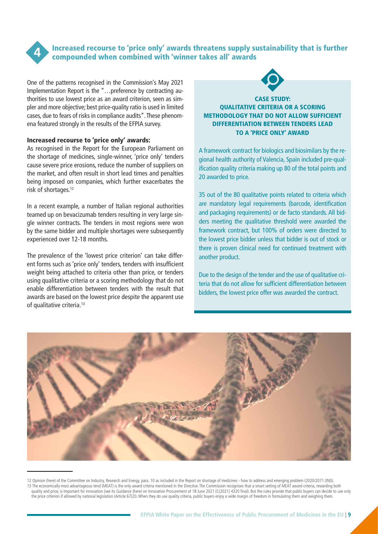<span id="page-8-0"></span>

Increased recourse to 'price only' awards threatens supply sustainability that is further compounded when combined with 'winner takes all' awards

One of the patterns recognised in the Commission's May 2021 Implementation Report is the "…preference by contracting authorities to use lowest price as an award criterion, seen as simpler and more objective; best price-quality ratio is used in limited cases, due to fears of risks in compliance audits". These phenomena featured strongly in the results of the EFPIA survey.

#### Increased recourse to 'price only' awards:

As recognised in the Report for the European Parliament on the shortage of medicines, single-winner, 'price only' tenders cause severe price erosions, reduce the number of suppliers on the market, and often result in short lead times and penalties being imposed on companies, which further exacerbates the risk of shortages.12

In a recent example, a number of Italian regional authorities teamed up on bevacizumab tenders resulting in very large single winner contracts. The tenders in most regions were won by the same bidder and multiple shortages were subsequently experienced over 12-18 months.

The prevalence of the 'lowest price criterion' can take different forms such as 'price only' tenders, tenders with insufficient weight being attached to criteria other than price, or tenders using qualitative criteria or a scoring methodology that do not enable differentiation between tenders with the result that awards are based on the lowest price despite the apparent use of qualitative criteria.13



#### CASE STUDY: QUALITATIVE CRITERIA OR A SCORING METHODOLOGY THAT DO NOT ALLOW SUFFICIENT DIFFERENTIATION BETWEEN TENDERS LEAD TO A 'PRICE ONLY' AWARD

A framework contract for biologics and biosimilars by the regional health authority of Valencia, Spain included pre-qualification quality criteria making up 80 of the total points and 20 awarded to price.

35 out of the 80 qualitative points related to criteria which are mandatory legal requirements (barcode, identification and packaging requirements) or de facto standards. All bidders meeting the qualitative threshold were awarded the framework contract, but 100% of orders were directed to the lowest price bidder unless that bidder is out of stock or there is proven clinical need for continued treatment with another product.

Due to the design of the tender and the use of qualitative criteria that do not allow for sufficient differentiation between bidders, the lowest price offer was awarded the contract.



<sup>12</sup> Opinion ([here\)](https://www.europarl.europa.eu/doceo/document/A-9-2020-0142_EN.html#title4) of the Committee on Industry, Research and Energy, para. 10 as included in the Report on shortage of medicines - how to address and emerging problem (2020/2071 (INI)). 13 The economically most advantageous tend (MEAT) is the only award criteria mentioned in the Directive. The Commission recognises that a smart setting of MEAT award criteria, rewarding both quality and price, is important for innovation (see its Guidance ([here\)](https://ec.europa.eu/docsroom/documents/45975) on Innovation Procurement of 18 June 2021 (C(2021) 4320 final). But the rules provide that public buyers can decide to use only the price criterion if allowed by national legislation (Article 67(2)). When they do use quality criteria, public buyers enjoy a wide margin of freedom in formulating them and weighing them.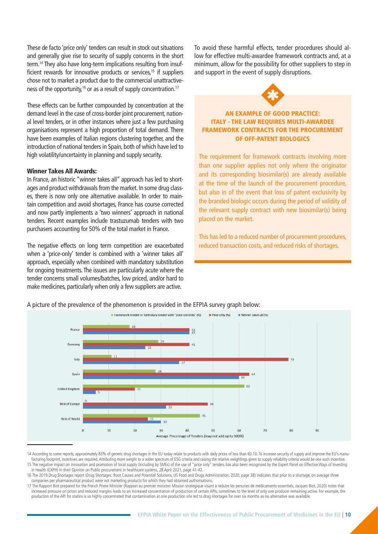These de facto 'price only' tenders can result in stock out situations and generally give rise to security of supply concerns in the short term.14 They also have long-term implications resulting from insufficient rewards for innovative products or services,<sup>15</sup> if suppliers chose not to market a product due to the commercial unattractiveness of the opportunity,<sup>16</sup> or as a result of supply concentration.<sup>17</sup>

These effects can be further compounded by concentration at the demand level in the case of cross-border joint procurement, national level tenders, or in other instances where just a few purchasing organisations represent a high proportion of total demand. There have been examples of Italian regions clustering together, and the introduction of national tenders in Spain, both of which have led to high volatility/uncertainty in planning and supply security.

#### Winner Takes All Awards:

In France, an historic "winner takes all" approach has led to shortages and product withdrawals from the market. In some drug classes, there is now only one alternative available. In order to maintain competition and avoid shortages, France has course corrected and now partly implements a 'two winners' approach in national tenders. Recent examples include trastuzumab tenders with two purchasers accounting for 50% of the total market in France.

The negative effects on long term competition are exacerbated when a 'price-only' tender is combined with a 'winner takes all' approach, especially when combined with mandatory substitution for ongoing treatments. The issues are particularly acute where the tender concerns small volumes/batches, low priced, and/or hard to make medicines, particularly when only a few suppliers are active.

To avoid these harmful effects, tender procedures should allow for effective multi-awardee framework contracts and, at a minimum, allow for the possibility for other suppliers to step in and support in the event of supply disruptions.



#### AN EXAMPLE OF GOOD PRACTICE: ITALY - THE LAW REQUIRES MULTI-AWARDEE FRAMEWORK CONTRACTS FOR THE PROCUREMENT OF OFF-PATENT BIOLOGICS

The requirement for framework contracts involving more than one supplier applies not only where the originator and its corresponding biosimilar(s) are already available at the time of the launch of the procurement procedure, but also in of the event that loss of patent exclusivity by the branded biologic occurs during the period of validity of the relevant supply contract with new biosimilar(s) being placed on the market.

This has led to a reduced number of procurement procedures, reduced transaction costs, and reduced risks of shortages.



A picture of the prevalence of the phenomenon is provided in the EFPIA survey graph below:

<sup>14</sup> According to some reports, approximately 83% of generic drug shortages in the EU today relate to products with daily prices of less than €0.10. To increase security of supply and improve the EU's manufacturing footprint, incentives are required. Attributing more weight to a wider spectrum of ESG criteria and raising the relative weightings given to supply reliability criteria would be one such incentive. 15 The negative impact on innovation and promotion of local supply (including by SMEs) of the use of "price only" tenders has also been recognised by the Expert Panel on Effective Ways of Investing in Health (EXPH) in their Opinion on Public procurement in healthcare systems, 28 April 2021, page 41-42.

<sup>16</sup> The 2019 Drug Shortages report (Drug Shortages: Root Causes and Potential Solutions, US Food and Drugs Administration, 2020, page 38) indicates that prior to a shortage, on average three companies per pharmaceutical product were not marketing products for which they had obtained authorisations.

<sup>17</sup> The Rapport Biot prepared for the French Prime Minister (Rapport au premier ministre: Mission strategique visant à reduire les penuries de médicaments essentiels, Jacques Biot, 2020) notes that increased pressure on prices and reduced margins leads to an increased concentration of production of certain APIs, sometimes to the level of only one producer remaining active. For example, the production of the API for statins is so highly concentrated that contamination at one production site led to drug shortages for over six months as no alternative was available.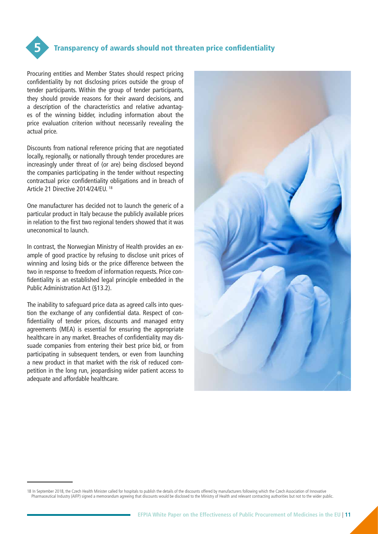<span id="page-10-0"></span>

Procuring entities and Member States should respect pricing confidentiality by not disclosing prices outside the group of tender participants. Within the group of tender participants, they should provide reasons for their award decisions, and a description of the characteristics and relative advantages of the winning bidder, including information about the price evaluation criterion without necessarily revealing the actual price.

Discounts from national reference pricing that are negotiated locally, regionally, or nationally through tender procedures are increasingly under threat of (or are) being disclosed beyond the companies participating in the tender without respecting contractual price confidentiality obligations and in breach of Article 21 Directive 2014/24/EU. 18

One manufacturer has decided not to launch the generic of a particular product in Italy because the publicly available prices in relation to the first two regional tenders showed that it was uneconomical to launch.

In contrast, the Norwegian Ministry of Health provides an example of good practice by refusing to disclose unit prices of winning and losing bids or the price difference between the two in response to freedom of information requests. Price confidentiality is an established legal principle embedded in the Public Administration Act (§13.2).

The inability to safeguard price data as agreed calls into question the exchange of any confidential data. Respect of confidentiality of tender prices, discounts and managed entry agreements (MEA) is essential for ensuring the appropriate healthcare in any market. Breaches of confidentiality may dissuade companies from entering their best price bid, or from participating in subsequent tenders, or even from launching a new product in that market with the risk of reduced competition in the long run, jeopardising wider patient access to adequate and affordable healthcare.



<sup>18</sup> In September 2018, the Czech Health Minister called for hospitals to publish the details of the discounts offered by manufacturers following which the Czech Association of Innovative Pharmaceutical Industry (AIFP) signed a memorandum agreeing that discounts would be disclosed to the Ministry of Health and relevant contracting authorities but not to the wider public.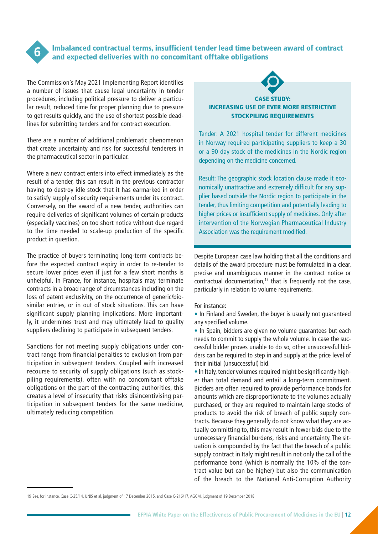<span id="page-11-0"></span>

#### Imbalanced contractual terms, insufficient tender lead time between award of contract and expected deliveries with no concomitant offtake obligations

The Commission's May 2021 Implementing Report identifies a number of issues that cause legal uncertainty in tender procedures, including political pressure to deliver a particular result, reduced time for proper planning due to pressure to get results quickly, and the use of shortest possible deadlines for submitting tenders and for contract execution.

There are a number of additional problematic phenomenon that create uncertainty and risk for successful tenderers in the pharmaceutical sector in particular.

Where a new contract enters into effect immediately as the result of a tender, this can result in the previous contractor having to destroy idle stock that it has earmarked in order to satisfy supply of security requirements under its contract. Conversely, on the award of a new tender, authorities can require deliveries of significant volumes of certain products (especially vaccines) on too short notice without due regard to the time needed to scale-up production of the specific product in question.

The practice of buyers terminating long-term contracts before the expected contract expiry in order to re-tender to secure lower prices even if just for a few short months is unhelpful. In France, for instance, hospitals may terminate contracts in a broad range of circumstances including on the loss of patent exclusivity, on the occurrence of generic/biosimilar entries, or in out of stock situations. This can have significant supply planning implications. More importantly, it undermines trust and may ultimately lead to quality suppliers declining to participate in subsequent tenders.

Sanctions for not meeting supply obligations under contract range from financial penalties to exclusion from participation in subsequent tenders. Coupled with increased recourse to security of supply obligations (such as stockpiling requirements), often with no concomitant offtake obligations on the part of the contracting authorities, this creates a level of insecurity that risks disincentivising participation in subsequent tenders for the same medicine, ultimately reducing competition.



#### CASE STUDY: INCREASING USE OF EVER MORE RESTRICTIVE STOCKPILING REQUIREMENTS

Tender: A 2021 hospital tender for different medicines in Norway required participating suppliers to keep a 30 or a 90 day stock of the medicines in the Nordic region depending on the medicine concerned.

Result: The geographic stock location clause made it economically unattractive and extremely difficult for any supplier based outside the Nordic region to participate in the tender, thus limiting competition and potentially leading to higher prices or insufficient supply of medicines. Only after intervention of the Norwegian Pharmaceutical Industry Association was the requirement modified.

Despite European case law holding that all the conditions and details of the award procedure must be formulated in a clear, precise and unambiguous manner in the contract notice or contractual documentation,<sup>19</sup> that is frequently not the case, particularly in relation to volume requirements.

For instance:

• In Finland and Sweden, the buyer is usually not guaranteed any specified volume.

• In Spain, bidders are given no volume guarantees but each needs to commit to supply the whole volume. In case the successful bidder proves unable to do so, other unsuccessful bidders can be required to step in and supply at the price level of their initial (unsuccessful) bid.

• In Italy, tender volumes required might be significantly higher than total demand and entail a long-term commitment. Bidders are often required to provide performance bonds for amounts which are disproportionate to the volumes actually purchased, or they are required to maintain large stocks of products to avoid the risk of breach of public supply contracts. Because they generally do not know what they are actually committing to, this may result in fewer bids due to the unnecessary financial burdens, risks and uncertainty. The situation is compounded by the fact that the breach of a public supply contract in Italy might result in not only the call of the performance bond (which is normally the 10% of the contract value but can be higher) but also the communication of the breach to the National Anti-Corruption Authority

19 See, for instance, Case C-25/14, UNIS et al, judgment of 17 December 2015, and Case C-216/17, AGCM, judgment of 19 December 2018.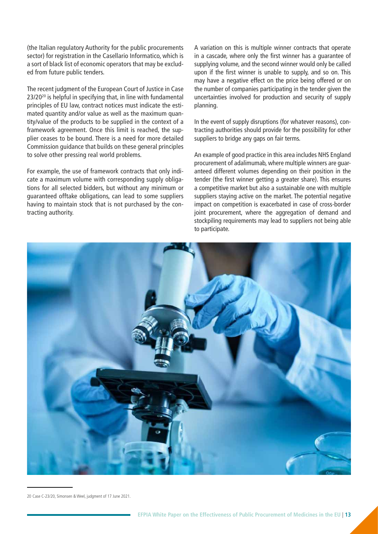(the Italian regulatory Authority for the public procurements sector) for registration in the Casellario Informatico, which is a sort of black list of economic operators that may be excluded from future public tenders.

The recent judgment of the European Court of Justice in Case 23/2020 is helpful in specifying that, in line with fundamental principles of EU law, contract notices must indicate the estimated quantity and/or value as well as the maximum quantity/value of the products to be supplied in the context of a framework agreement. Once this limit is reached, the supplier ceases to be bound. There is a need for more detailed Commission guidance that builds on these general principles to solve other pressing real world problems.

For example, the use of framework contracts that only indicate a maximum volume with corresponding supply obligations for all selected bidders, but without any minimum or guaranteed offtake obligations, can lead to some suppliers having to maintain stock that is not purchased by the contracting authority.

A variation on this is multiple winner contracts that operate in a cascade, where only the first winner has a guarantee of supplying volume, and the second winner would only be called upon if the first winner is unable to supply, and so on. This may have a negative effect on the price being offered or on the number of companies participating in the tender given the uncertainties involved for production and security of supply planning.

In the event of supply disruptions (for whatever reasons), contracting authorities should provide for the possibility for other suppliers to bridge any gaps on fair terms.

An example of good practice in this area includes NHS England procurement of adalimumab, where multiple winners are guaranteed different volumes depending on their position in the tender (the first winner getting a greater share). This ensures a competitive market but also a sustainable one with multiple suppliers staying active on the market. The potential negative impact on competition is exacerbated in case of cross-border joint procurement, where the aggregation of demand and stockpiling requirements may lead to suppliers not being able to participate.



20 Case C-23/20, Simonsen & Weel, judgment of 17 June 2021.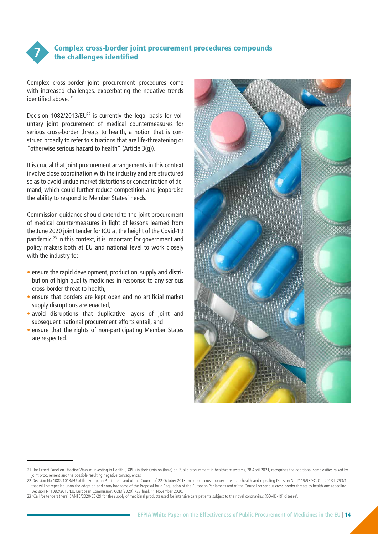<span id="page-13-0"></span>

#### Complex cross-border joint procurement procedures compounds the challenges identified

Complex cross-border joint procurement procedures come with increased challenges, exacerbating the negative trends identified above. 21

Decision 1082/2013/EU<sup>22</sup> is currently the legal basis for voluntary joint procurement of medical countermeasures for serious cross-border threats to health, a notion that is construed broadly to refer to situations that are life-threatening or "otherwise serious hazard to health" (Article 3(g)).

It is crucial that joint procurement arrangements in this context involve close coordination with the industry and are structured so as to avoid undue market distortions or concentration of demand, which could further reduce competition and jeopardise the ability to respond to Member States' needs.

Commission guidance should extend to the joint procurement of medical countermeasures in light of lessons learned from the June 2020 joint tender for ICU at the height of the Covid-19 pandemic.23 In this context, it is important for government and policy makers both at EU and national level to work closely with the industry to:

- ensure the rapid development, production, supply and distribution of high-quality medicines in response to any serious cross-border threat to health,
- ensure that borders are kept open and no artificial market supply disruptions are enacted,
- avoid disruptions that duplicative layers of joint and subsequent national procurement efforts entail, and
- ensure that the rights of non-participating Member States are respected.



<sup>21</sup> The Expert Panel on Effective Ways of Investing in Health (EXPH) in their Opinion ([here\)](https://op.europa.eu/en/publication-detail/-/publication/0fa5efff-b138-11eb-8307-01aa75ed71a1/language-en) on Public procurement in healthcare systems, 28 April 2021, recognises the additional complexities raised by joint procurement and the possible resulting negative consequences.

<sup>22</sup> Decision No 1082/1013/EU of the European Parliament and of the Council of 22 October 2013 on serious cross-border threats to health and repealing Decision No 2119/98/EC, O.J. 2013 L 293/1 that will be repealed upon the adoption and entry into force of the Proposal for a Regulation of the European Parliament and of the Council on serious cross-border threats to health and repealing Decision N°1082/2013/EU, European Commission, COM(2020) 727 final, 11 November 2020.

<sup>23 &#</sup>x27;Call for tenders [\(here](https://www.medicinesforeurope.com/wp-content/uploads/2020/06/20200625-Letter-call-for-tenders-SANTE.pdf)) SANTE/2020/C3/29 for the supply of medicinal products used for intensive care patients subject to the novel coronavirus (COVID-19) disease'.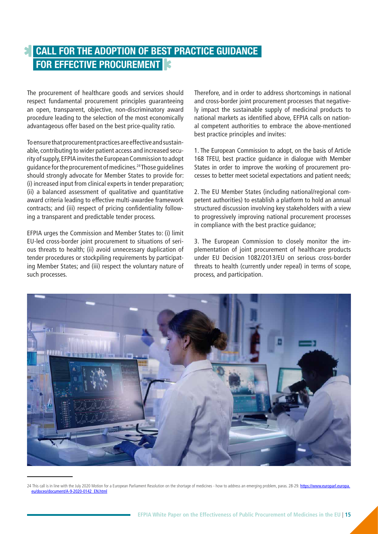### <span id="page-14-0"></span>**CALL FOR THE ADOPTION OF BEST PRACTICE GUIDANCE FOR EFFECTIVE PROCUREMENT**

The procurement of healthcare goods and services should respect fundamental procurement principles guaranteeing an open, transparent, objective, non-discriminatory award procedure leading to the selection of the most economically advantageous offer based on the best price-quality ratio.

To ensure that procurement practices are effective and sustainable, contributing to wider patient access and increased security of supply, EFPIA invites the European Commission to adopt guidance for the procurement of medicines.24 Those guidelines should strongly advocate for Member States to provide for: (i) increased input from clinical experts in tender preparation; (ii) a balanced assessment of qualitative and quantitative award criteria leading to effective multi-awardee framework contracts; and (iii) respect of pricing confidentiality following a transparent and predictable tender process.

EFPIA urges the Commission and Member States to: (i) limit EU-led cross-border joint procurement to situations of serious threats to health; (ii) avoid unnecessary duplication of tender procedures or stockpiling requirements by participating Member States; and (iii) respect the voluntary nature of such processes.

Therefore, and in order to address shortcomings in national and cross-border joint procurement processes that negatively impact the sustainable supply of medicinal products to national markets as identified above, EFPIA calls on national competent authorities to embrace the above-mentioned best practice principles and invites:

1. The European Commission to adopt, on the basis of Article 168 TFEU, best practice guidance in dialogue with Member States in order to improve the working of procurement processes to better meet societal expectations and patient needs;

2. The EU Member States (including national/regional competent authorities) to establish a platform to hold an annual structured discussion involving key stakeholders with a view to progressively improving national procurement processes in compliance with the best practice guidance;

3. The European Commission to closely monitor the implementation of joint procurement of healthcare products under EU Decision 1082/2013/EU on serious cross-border threats to health (currently under repeal) in terms of scope, process, and participation.



<sup>24</sup> This call is in line with the July 2020 Motion for a European Parliament Resolution on the shortage of medicines - how to address an emerging problem, paras. 28-29. [https://www.europarl.europa.](https://www.europarl.europa.eu/doceo/document/A-9-2020-0142_EN.html) eu/doceo/document/A-9-2020-0142\_EN.htm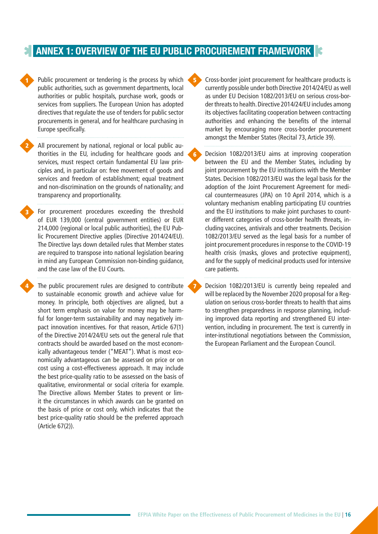### <span id="page-15-0"></span>**ANNEX 1: OVERVIEW OF THE EU PUBLIC PROCUREMENT FRAMEWORK**

6

**Public procurement or tendering is the process by which**  $\begin{array}{c} \bullet \\ \bullet \end{array}$ public authorities, such as government departments, local authorities or public hospitals, purchase work, goods or services from suppliers. The European Union has adopted directives that regulate the use of tenders for public sector procurements in general, and for healthcare purchasing in Europe specifically.

All procurement by national, regional or local public authorities in the EU, including for healthcare goods and services, must respect certain fundamental EU law principles and, in particular on: free movement of goods and services and freedom of establishment; equal treatment and non-discrimination on the grounds of nationality; and transparency and proportionality.

2

3

For procurement procedures exceeding the threshold of EUR 139,000 (central government entities) or EUR 214,000 (regional or local public authorities), the EU Public Procurement Directive applies (Directive 2014/24/EU). The Directive lays down detailed rules that Member states are required to transpose into national legislation bearing in mind any European Commission non-binding guidance, and the case law of the EU Courts.

**4** The public procurement rules are designed to contribute < to sustainable economic growth and achieve value for money. In principle, both objectives are aligned, but a short term emphasis on value for money may be harmful for longer-term sustainability and may negatively impact innovation incentives. For that reason, Article 67(1) of the Directive 2014/24/EU sets out the general rule that contracts should be awarded based on the most economically advantageous tender ("MEAT"). What is most economically advantageous can be assessed on price or on cost using a cost-effectiveness approach. It may include the best price-quality ratio to be assessed on the basis of qualitative, environmental or social criteria for example. The Directive allows Member States to prevent or limit the circumstances in which awards can be granted on the basis of price or cost only, which indicates that the best price-quality ratio should be the preferred approach (Article 67(2)).

Cross-border joint procurement for healthcare products is currently possible under both Directive 2014/24/EU as well as under EU Decision 1082/2013/EU on serious cross-border threats to health. Directive 2014/24/EU includes among its objectives facilitating cooperation between contracting authorities and enhancing the benefits of the internal market by encouraging more cross-border procurement amongst the Member States (Recital 73, Article 39).

Decision 1082/2013/EU aims at improving cooperation between the EU and the Member States, including by joint procurement by the EU institutions with the Member States. Decision 1082/2013/EU was the legal basis for the adoption of the Joint Procurement Agreement for medical countermeasures (JPA) on 10 April 2014, which is a voluntary mechanism enabling participating EU countries and the EU institutions to make joint purchases to counter different categories of cross-border health threats, including vaccines, antivirals and other treatments. Decision 1082/2013/EU served as the legal basis for a number of joint procurement procedures in response to the COVID-19 health crisis (masks, gloves and protective equipment), and for the supply of medicinal products used for intensive care patients.

Decision 1082/2013/EU is currently being repealed and will be replaced by the November 2020 proposal for a Regulation on serious cross-border threats to health that aims to strengthen preparedness in response planning, including improved data reporting and strengthened EU intervention, including in procurement. The text is currently in inter-institutional negotiations between the Commission, the European Parliament and the European Council.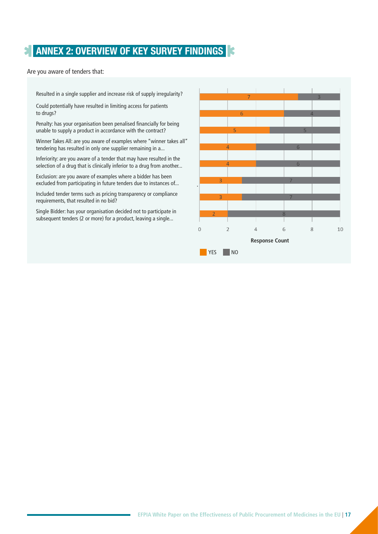### <span id="page-16-0"></span>**ANNEX 2: OVERVIEW OF KEY SURVEY FINDINGS**

Are you aware of tenders that:

Resulted in a single supplier and increase risk of supply irregularity?

Could potentially have resulted in limiting access for patients to drugs?

Penalty: has your organisation been penalised financially for being unable to supply a product in accordance with the contract?

Winner Takes All: are you aware of examples where "winner takes all" tendering has resulted in only one supplier remaining in a...

Inferiority: are you aware of a tender that may have resulted in the selection of a drug that is clinically inferior to a drug from another...

Exclusion: are you aware of examples where a bidder has been excluded from participating in future tenders due to instances of...

Included tender terms such as pricing transparency or compliance requirements, that resulted in no bid?

Single Bidder: has your organisation decided not to participate in subsequent tenders (2 or more) for a product, leaving a single...